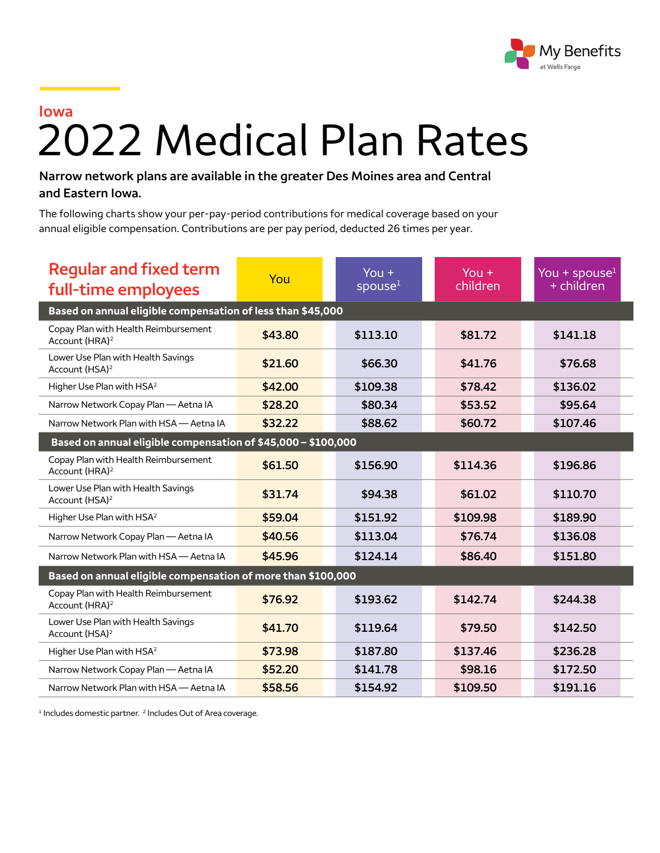

## **Iowa** 2022 Medical Plan Rates

## **Narrow network plans are available in the greater Des Moines area and Central and Eastern Iowa.**

The following charts show your per-pay-period contributions for medical coverage based on your annual eligible compensation. Contributions are per pay period, deducted 26 times per year.

| <b>Regular and fixed term</b><br>full-time employees               | You     | You $+$<br>spouse <sup>1</sup> | $You +$<br>children | You + spouse $1$<br>$+$ children |  |  |
|--------------------------------------------------------------------|---------|--------------------------------|---------------------|----------------------------------|--|--|
| Based on annual eligible compensation of less than \$45,000        |         |                                |                     |                                  |  |  |
| Copay Plan with Health Reimbursement<br>Account (HRA) <sup>2</sup> | \$43.80 | \$113.10                       | \$81.72             | \$141.18                         |  |  |
| Lower Use Plan with Health Savings<br>Account (HSA) <sup>2</sup>   | \$21.60 | \$66.30                        | \$41.76             | \$76.68                          |  |  |
| Higher Use Plan with HSA <sup>2</sup>                              | \$42.00 | \$109.38                       | \$78.42             | \$136.02                         |  |  |
| Narrow Network Copay Plan - Aetna IA                               | \$28.20 | \$80.34                        | \$53.52             | \$95.64                          |  |  |
| Narrow Network Plan with HSA - Aetna IA                            | \$32.22 | \$88.62                        | \$60.72             | \$107.46                         |  |  |
| Based on annual eligible compensation of \$45,000 - \$100,000      |         |                                |                     |                                  |  |  |
| Copay Plan with Health Reimbursement<br>Account (HRA) <sup>2</sup> | \$61.50 | \$156.90                       | \$114.36            | \$196.86                         |  |  |
| Lower Use Plan with Health Savings<br>Account (HSA) <sup>2</sup>   | \$31.74 | \$94.38                        | \$61.02             | \$110.70                         |  |  |
| Higher Use Plan with HSA <sup>2</sup>                              | \$59.04 | \$151.92                       | \$109.98            | \$189.90                         |  |  |
| Narrow Network Copay Plan - Aetna IA                               | \$40.56 | \$113.04                       | \$76.74             | \$136.08                         |  |  |
| Narrow Network Plan with HSA - Aetna IA                            | \$45.96 | \$124.14                       | \$86.40             | \$151.80                         |  |  |
| Based on annual eligible compensation of more than \$100,000       |         |                                |                     |                                  |  |  |
| Copay Plan with Health Reimbursement<br>Account (HRA) <sup>2</sup> | \$76.92 | \$193.62                       | \$142.74            | \$244.38                         |  |  |
| Lower Use Plan with Health Savings<br>Account (HSA) <sup>2</sup>   | \$41.70 | \$119.64                       | \$79.50             | \$142.50                         |  |  |
| Higher Use Plan with HSA <sup>2</sup>                              | \$73.98 | \$187.80                       | \$137.46            | \$236.28                         |  |  |
| Narrow Network Copay Plan - Aetna IA                               | \$52.20 | \$141.78                       | \$98.16             | \$172.50                         |  |  |
| Narrow Network Plan with HSA - Aetna IA                            | \$58.56 | \$154.92                       | \$109.50            | \$191.16                         |  |  |

<sup>1</sup> Includes domestic partner. <sup>2</sup> Includes Out of Area coverage.